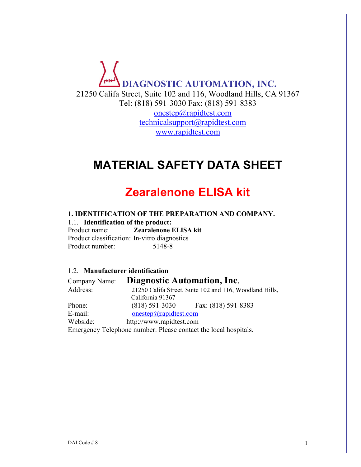# **DIAGNOSTIC AUTOMATION, INC.** 21250 Califa Street, Suite 102 and 116, Woodland Hills, CA 91367 Tel: (818) 591-3030 Fax: (818) 591-8383 [onestep@rapidtest.com](mailto:onestep@rapidtest.com) [technicalsupport@rapidtest.com](mailto:technicalsupport@rapidtest.com) www.rapidtest.com

# **MATERIAL SAFETY DATA SHEET**

# **Zearalenone ELISA kit**

# **1. IDENTIFICATION OF THE PREPARATION AND COMPANY.**

1.1. **Identification of the product:** Product name: **Zearalenone ELISA kit** Product classification: In-vitro diagnostics Product number: 5148-8

1.2. **Manufacturer identification** Company Name: **Diagnostic Automation, Inc**. Address: 21250 Califa Street, Suite 102 and 116, Woodland Hills, California 91367 Phone: (818) 591-3030 Fax: (818) 591-8383 E-mail: [onestep@rapidtest.com](mailto:onestep@rapidtest.com) Webside: http://www.rapidtest.com Emergency Telephone number: Please contact the local hospitals.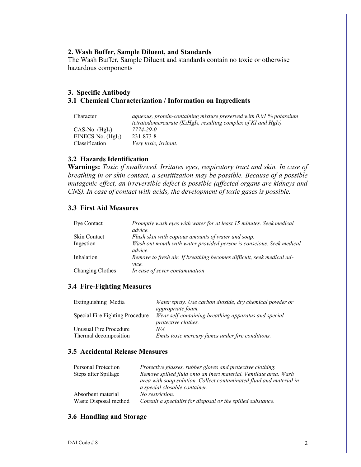## **2. Wash Buffer, Sample Diluent, and Standards**

The Wash Buffer, Sample Diluent and standards contain no toxic or otherwise hazardous components

#### **3. Specific Antibody 3.1 Chemical Characterization / Information on Ingredients**

| Character           | aqueous, protein-containing mixture preserved with $0.01\%$ potassium |
|---------------------|-----------------------------------------------------------------------|
|                     | tetraiodomercurate (K2HgI4, resulting complex of KI and HgI2).        |
| $CAS-No. (Hgl2)$    | 7774-29-0                                                             |
| EINECS-No. $(Hgl2)$ | 231-873-8                                                             |
| Classification      | Very toxic, irritant.                                                 |

## **3.2 Hazards Identification**

**Warnings:** *Toxic if swallowed. Irritates eyes, respiratory tract and skin. In case of breathing in or skin contact, a sensitization may be possible. Because of a possible mutagenic effect, an irreversible defect is possible (affected organs are kidneys and CNS). In case of contact with acids, the development of toxic gases is possible.*

## **3.3 First Aid Measures**

| Eye Contact         | Promptly wash eyes with water for at least 15 minutes. Seek medical<br>advice.  |
|---------------------|---------------------------------------------------------------------------------|
| <b>Skin Contact</b> | Flush skin with copious amounts of water and soap.                              |
| Ingestion           | Wash out mouth with water provided person is conscious. Seek medical<br>advice. |
| Inhalation          | Remove to fresh air. If breathing becomes difficult, seek medical ad-<br>vice.  |
| Changing Clothes    | In case of sever contamination                                                  |

#### **3.4 Fire-Fighting Measures**

| Extinguishing Media                             | Water spray. Use carbon dioxide, dry chemical powder or<br><i>appropriate foam.</i> |
|-------------------------------------------------|-------------------------------------------------------------------------------------|
| Special Fire Fighting Procedure                 | Wear self-containing breathing apparatus and special<br>protective clothes.         |
| Unusual Fire Procedure<br>Thermal decomposition | N/A<br>Emits toxic mercury fumes under fire conditions.                             |

# **3.5 Accidental Release Measures**

| Personal Protection   | Protective glasses, rubber gloves and protective clothing.                                           |
|-----------------------|------------------------------------------------------------------------------------------------------|
| Steps after Spillage  | Remove spilled fluid onto an inert material. Ventilate area. Wash                                    |
|                       | area with soap solution. Collect contaminated fluid and material in<br>a special closable container. |
| Absorbent material    | No restriction.                                                                                      |
| Waste Disposal method | Consult a specialist for disposal or the spilled substance.                                          |

#### **3.6 Handling and Storage**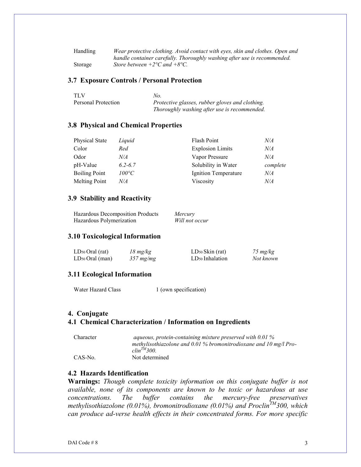| Handling | Wear protective clothing. Avoid contact with eves, skin and clothes. Open and |
|----------|-------------------------------------------------------------------------------|
|          | handle container carefully. Thoroughly washing after use is recommended.      |
| Storage  | Store between $+2$ <sup>o</sup> C and $+8$ <sup>o</sup> C.                    |

#### **3.7 Exposure Controls / Personal Protection**

| <b>TLV</b>          | No.                                             |
|---------------------|-------------------------------------------------|
| Personal Protection | Protective glasses, rubber gloves and clothing. |
|                     | Thoroughly washing after use is recommended.    |

#### **3.8 Physical and Chemical Properties**

| <b>Physical State</b> | Liquid         | Flash Point             | N/A      |
|-----------------------|----------------|-------------------------|----------|
| Color                 | Red            | <b>Explosion Limits</b> | N/A      |
| Odor                  | N/A            | Vapor Pressure          | N/A      |
| pH-Value              | $6.2 - 6.7$    | Solubility in Water     | complete |
| <b>Boiling Point</b>  | $100^{\circ}C$ | Ignition Temperature    | N/A      |
| <b>Melting Point</b>  | N/A            | Viscosity               | N/A      |

#### **3.9 Stability and Reactivity**

| Hazardous Decomposition Products | Mercury        |
|----------------------------------|----------------|
| Hazardous Polymerization         | Will not occur |

#### **3.10 Toxicological Information**

| $LD_{50}$ Oral (rat) | $18 \ mg/kg$   | $LD_{50}$ Skin (rat)        | $75 \ mg/kg$ |
|----------------------|----------------|-----------------------------|--------------|
| $LD_{50}$ Oral (man) | $357 \, mg/mg$ | LD <sub>50</sub> Inhalation | Not known    |

#### **3.11 Ecological Information**

Water Hazard Class 1 (own specification)

#### **4. Conjugate**

#### **4.1 Chemical Characterization / Information on Ingredients**

| Character | aqueous, protein-containing mixture preserved with $0.01\%$         |
|-----------|---------------------------------------------------------------------|
|           | methylisothiazolone and $0.01\%$ bromonitrodioxane and 10 mg/l Pro- |
|           | $\textit{clip}^{TM}$ 300.                                           |
| CAS-No.   | Not determined                                                      |

## **4.2 Hazards Identification**

**Warnings:** *Though complete toxicity information on this conjugate buffer is not available, none of its components are known to be toxic or hazardous at use concentrations. The buffer contains the mercury-free preservatives methylisothiazolone (0.01%), bromonitrodioxane (0.01%) and ProclinTM300, which can produce ad-verse health effects in their concentrated forms. For more specific*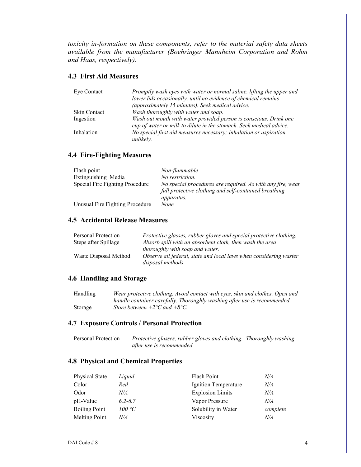*toxicity in-formation on these components, refer to the material safety data sheets available from the manufacturer (Boehringer Mannheim Corporation and Rohm and Haas, respectively).*

# **4.3 First Aid Measures**

| Eye Contact         | Promptly wash eyes with water or normal saline, lifting the upper and                                                                    |
|---------------------|------------------------------------------------------------------------------------------------------------------------------------------|
|                     | lower lids occasionally, until no evidence of chemical remains                                                                           |
|                     | (approximately 15 minutes). Seek medical advice.                                                                                         |
| <b>Skin Contact</b> | Wash thoroughly with water and soap.                                                                                                     |
| Ingestion           | Wash out mouth with water provided person is conscious. Drink one<br>cup of water or milk to dilute in the stomach. Seek medical advice. |
|                     |                                                                                                                                          |
| Inhalation          | No special first aid measures necessary; inhalation or aspiration                                                                        |
|                     | unlikely.                                                                                                                                |

## **4.4 Fire-Fighting Measures**

| Flash point                     | Non-flammable                                                                                                       |
|---------------------------------|---------------------------------------------------------------------------------------------------------------------|
| Extinguishing Media             | No restriction.                                                                                                     |
| Special Fire Fighting Procedure | No special procedures are required. As with any fire, wear<br>full protective clothing and self-contained breathing |
| Unusual Fire Fighting Procedure | <i>apparatus.</i><br>None                                                                                           |

## **4.5 Accidental Release Measures**

| Personal Protection   | Protective glasses, rubber gloves and special protective clothing. |
|-----------------------|--------------------------------------------------------------------|
| Steps after Spillage  | Absorb spill with an absorbent cloth, then wash the area           |
|                       | <i>thoroughly with soap and water.</i>                             |
| Waste Disposal Method | Observe all federal, state and local laws when considering waster  |
|                       | disposal methods.                                                  |

### **4.6 Handling and Storage**

| Handling | Wear protective clothing. Avoid contact with eyes, skin and clothes. Open and |
|----------|-------------------------------------------------------------------------------|
|          | handle container carefully. Thoroughly washing after use is recommended.      |
| Storage  | Store between $+2$ °C and $+8$ °C.                                            |

#### **4.7 Exposure Controls / Personal Protection**

| Personal Protection | Protective glasses, rubber gloves and clothing. Thoroughly washing |  |
|---------------------|--------------------------------------------------------------------|--|
|                     | after use is recommended                                           |  |

# **4.8 Physical and Chemical Properties**

| Physical State       | Liquid      | Flash Point             | N/A      |
|----------------------|-------------|-------------------------|----------|
| Color                | Red         | Ignition Temperature    | N/A      |
| Odor                 | N/A         | <b>Explosion Limits</b> | N/A      |
| pH-Value             | $6.2 - 6.7$ | Vapor Pressure          | N/A      |
| <b>Boiling Point</b> | 100 °C      | Solubility in Water     | complete |
| <b>Melting Point</b> | N/A         | Viscosity               | N/A      |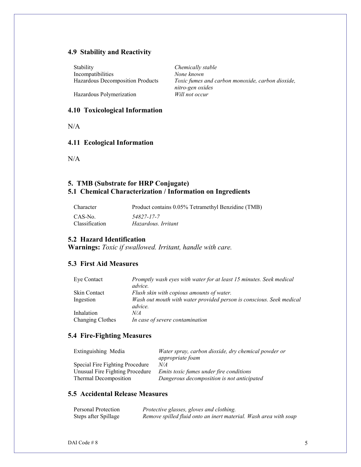## **4.9 Stability and Reactivity**

Stability *Chemically stable* Incompatibilities *None known*

Hazardous Decomposition Products *Toxic fumes and carbon monoxide, carbon dioxide, nitro-gen oxides*

**Hazardous Polymerization** 

## **4.10 Toxicological Information**

 $N/A$ 

## **4.11 Ecological Information**

N/A

# **5. TMB (Substrate for HRP Conjugate) 5.1 Chemical Characterization / Information on Ingredients**

| <b>Character</b> | Product contains 0.05% Tetramethyl Benzidine (TMB) |
|------------------|----------------------------------------------------|
| CAS-No.          | 54827-17-7                                         |
| Classification   | Hazardous, Irritant                                |

## **5.2 Hazard Identification**

**Warnings:** *Toxic if swallowed. Irritant, handle with care.*

## **5.3 First Aid Measures**

| Eye Contact      | Promptly wash eyes with water for at least 15 minutes. Seek medical             |
|------------------|---------------------------------------------------------------------------------|
|                  | advice.                                                                         |
| Skin Contact     | Flush skin with copious amounts of water.                                       |
| Ingestion        | Wash out mouth with water provided person is conscious. Seek medical<br>advice. |
| Inhalation       | N/A                                                                             |
| Changing Clothes | In case of severe contamination                                                 |

## **5.4 Fire-Fighting Measures**

| Extinguishing Media             | Water spray, carbon dioxide, dry chemical powder or<br><i>appropriate foam</i> |
|---------------------------------|--------------------------------------------------------------------------------|
| Special Fire Fighting Procedure | N/A                                                                            |
| Unusual Fire Fighting Procedure | Emits toxic fumes under fire conditions                                        |
| Thermal Decomposition           | Dangerous decomposition is not anticipated                                     |

# **5.5 Accidental Release Measures**

| Personal Protection  | Protective glasses, gloves and clothing.                         |
|----------------------|------------------------------------------------------------------|
| Steps after Spillage | Remove spilled fluid onto an inert material. Wash area with soap |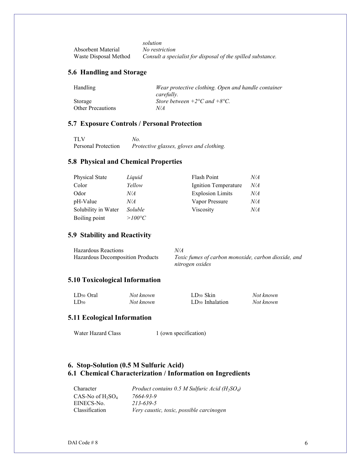*solution* Absorbent Material *No restriction* Waste Disposal Method *Consult a specialist for disposal of the spilled substance.*

# **5.6 Handling and Storage**

| Wear protective clothing. Open and handle container |
|-----------------------------------------------------|
| carefully.                                          |
| Store between $+2$ °C and $+8$ °C.                  |
| N/A                                                 |
|                                                     |

## **5.7 Exposure Controls / Personal Protection**

| <b>TLV</b>          | No.                                      |
|---------------------|------------------------------------------|
| Personal Protection | Protective glasses, gloves and clothing. |

## **5.8 Physical and Chemical Properties**

| <b>Physical State</b> | Liquid          | Flash Point             | N/A |
|-----------------------|-----------------|-------------------------|-----|
| Color                 | Yellow          | Ignition Temperature    | N/A |
| Odor                  | N/A             | <b>Explosion Limits</b> | N/A |
| pH-Value              | N/A             | Vapor Pressure          | N/A |
| Solubility in Water   | <i>Soluble</i>  | Viscosity               | N/A |
| Boiling point         | $>100^{\circ}C$ |                         |     |

## **5.9 Stability and Reactivity**

| <b>Hazardous Reactions</b>       | N/A                                                 |
|----------------------------------|-----------------------------------------------------|
| Hazardous Decomposition Products | Toxic fumes of carbon monoxide, carbon dioxide, and |
|                                  | nitrogen oxides                                     |

## **5.10 Toxicological Information**

| LD <sub>50</sub> Oral | Not known | LD <sub>50</sub> Skin       | Not known |
|-----------------------|-----------|-----------------------------|-----------|
| $LD_{50}$             | Not known | LD <sub>50</sub> Inhalation | Not known |

### **5.11 Ecological Information**

Water Hazard Class 1 (own specification)

## **6. Stop-Solution (0.5 M Sulfuric Acid) 6.1 Chemical Characterization / Information on Ingredients**

| Character             | Product contains 0.5 M Sulfuric Acid ( $H_2SO_4$ ) |
|-----------------------|----------------------------------------------------|
| $CAS-No$ of $H_2SO_4$ | 7664-93-9                                          |
| EINECS-No.            | 213-639-5                                          |
| Classification        | Very caustic, toxic, possible carcinogen           |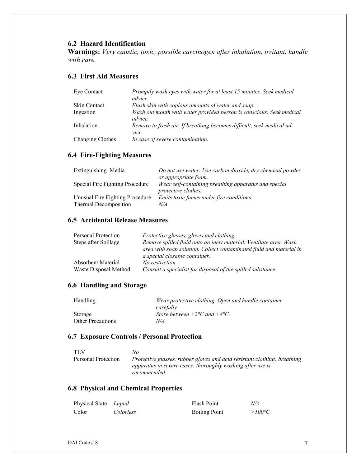# **6.2 Hazard Identification**

**Warnings:** *Very caustic, toxic, possible carcinogen after inhalation, irritant, handle with care.*

# **6.3 First Aid Measures**

| Eye Contact         | Promptly wash eyes with water for at least 15 minutes. Seek medical<br><i>advice.</i> |
|---------------------|---------------------------------------------------------------------------------------|
| <b>Skin Contact</b> | Flush skin with copious amounts of water and soap.                                    |
| Ingestion           | Wash out mouth with water provided person is conscious. Seek medical<br>advice.       |
| Inhalation          | Remove to fresh air. If breathing becomes difficult, seek medical ad-<br>vice.        |
| Changing Clothes    | In case of severe contamination.                                                      |

## **6.4 Fire-Fighting Measures**

| Extinguishing Media             | Do not use water. Use carbon dioxide, dry chemical powder                          |
|---------------------------------|------------------------------------------------------------------------------------|
|                                 | or appropriate foam.                                                               |
| Special Fire Fighting Procedure | Wear self-containing breathing apparatus and special<br><i>protective clothes.</i> |
| Unusual Fire Fighting Procedure | <i>Emits toxic fumes under fire conditions.</i>                                    |
| Thermal Decomposition           | N/A                                                                                |

## **6.5 Accidental Release Measures**

| Personal Protection<br>Steps after Spillage | <i>Protective glasses, gloves and clothing.</i><br>Remove spilled fluid onto an inert material. Ventilate area. Wash<br>area with soap solution. Collect contaminated fluid and material in<br>a special closable container. |
|---------------------------------------------|------------------------------------------------------------------------------------------------------------------------------------------------------------------------------------------------------------------------------|
| Absorbent Material                          | No restriction                                                                                                                                                                                                               |
| Waste Disposal Method                       | Consult a specialist for disposal of the spilled substance.                                                                                                                                                                  |

## **6.6 Handling and Storage**

| Handling                 | Wear protective clothing. Open and handle container        |
|--------------------------|------------------------------------------------------------|
|                          | carefully                                                  |
| Storage                  | Store between $+2$ <sup>o</sup> C and $+8$ <sup>o</sup> C. |
| <b>Other Precautions</b> | N/A                                                        |

## **6.7 Exposure Controls / Personal Protection**

| TLV                 | Nο                                                                       |
|---------------------|--------------------------------------------------------------------------|
| Personal Protection | Protective glasses, rubber gloves and acid resistant clothing; breathing |
|                     | apparatus in severe cases: thoroughly washing after use is               |
|                     | recommended.                                                             |

# **6.8 Physical and Chemical Properties**

| Physical State Liquid |                  | <b>Flash Point</b>   | N/A             |
|-----------------------|------------------|----------------------|-----------------|
| Color                 | <i>Colorless</i> | <b>Boiling Point</b> | $>100^{\circ}C$ |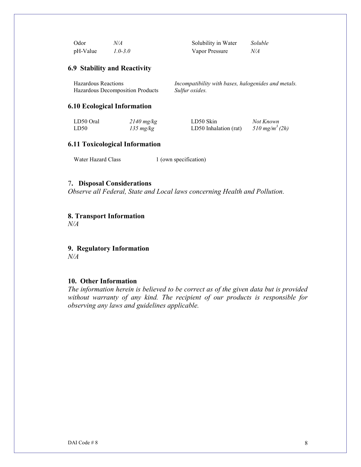| Odor     | N/A         | Solubility in Water | Soluble |
|----------|-------------|---------------------|---------|
| pH-Value | $1.0 - 3.0$ | Vapor Pressure      | N/A     |

### **6.9 Stability and Reactivity**

| <b>Hazardous Reactions</b>       | Incompatibility with bases, halogenides and metals. |
|----------------------------------|-----------------------------------------------------|
| Hazardous Decomposition Products | Sulfur oxides.                                      |

#### **6.10 Ecological Information**

| LD50 Oral | $2140$ mg/kg  | LD50 Skin             | Not Known                  |
|-----------|---------------|-----------------------|----------------------------|
| LD50      | $135 \ mg/kg$ | LD50 Inhalation (rat) | 510 mg/m <sup>3</sup> (2h) |

# **6.11 Toxicological Information**

Water Hazard Class 1 (own specification)

## 7**. Disposal Considerations**

*Observe all Federal, State and Local laws concerning Health and Pollution.*

## **8. Transport Information**

*N/A*

**9. Regulatory Information** *N/A*

### **10. Other Information**

*The information herein is believed to be correct as of the given data but is provided without warranty of any kind. The recipient of our products is responsible for observing any laws and guidelines applicable.*